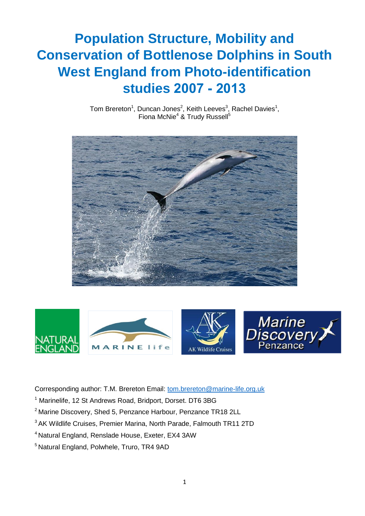### **Population Structure, Mobility and Conservation of Bottlenose Dolphins in South West England from Photo-identification studies 2007 - 2013**

Tom Brereton<sup>1</sup>, Duncan Jones<sup>2</sup>, Keith Leeves<sup>3</sup>, Rachel Davies<sup>1</sup>, Fiona McNie<sup>4</sup> & Trudy Russell<sup>5</sup>





Corresponding author: T.M. Brereton Email: [tom.brereton@marine-life.org.uk](mailto:tom.brereton@marine-life.org.uk)

- <sup>1</sup> Marinelife, 12 St Andrews Road, Bridport, Dorset. DT6 3BG
- <sup>2</sup> Marine Discovery, Shed 5, Penzance Harbour, Penzance TR18 2LL
- <sup>3</sup> AK Wildlife Cruises, Premier Marina, North Parade, Falmouth TR11 2TD
- <sup>4</sup>Natural England, Renslade House, Exeter, EX4 3AW
- <sup>5</sup> Natural England, Polwhele, Truro, TR4 9AD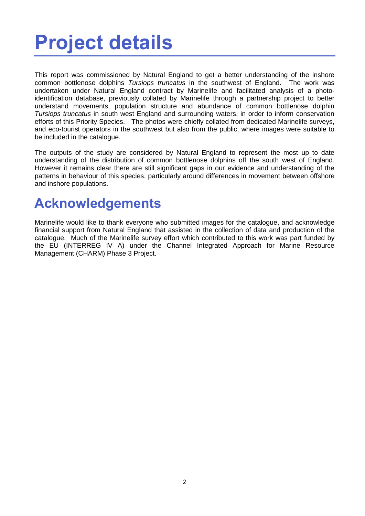## <span id="page-1-0"></span>**Project details**

This report was commissioned by Natural England to get a better understanding of the inshore common bottlenose dolphins *Tursiops truncatus* in the southwest of England. The work was undertaken under Natural England contract by Marinelife and facilitated analysis of a photoidentification database, previously collated by Marinelife through a partnership project to better understand movements, population structure and abundance of common bottlenose dolphin *Tursiops truncatus* in south west England and surrounding waters, in order to inform conservation efforts of this Priority Species. The photos were chiefly collated from dedicated Marinelife surveys, and eco-tourist operators in the southwest but also from the public, where images were suitable to be included in the catalogue.

The outputs of the study are considered by Natural England to represent the most up to date understanding of the distribution of common bottlenose dolphins off the south west of England. However it remains clear there are still significant gaps in our evidence and understanding of the patterns in behaviour of this species, particularly around differences in movement between offshore and inshore populations.

### <span id="page-1-1"></span>**Acknowledgements**

Marinelife would like to thank everyone who submitted images for the catalogue, and acknowledge financial support from Natural England that assisted in the collection of data and production of the catalogue. Much of the Marinelife survey effort which contributed to this work was part funded by the EU (INTERREG IV A) under the Channel Integrated Approach for Marine Resource Management (CHARM) Phase 3 Project.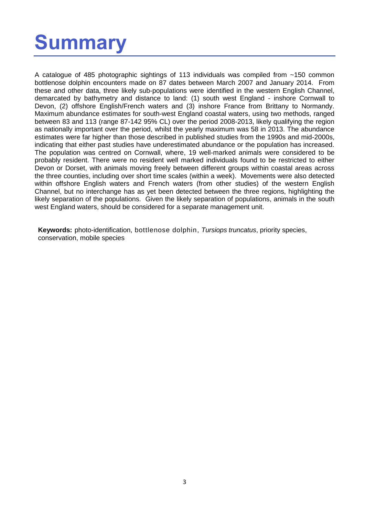### <span id="page-2-0"></span>**Summary**

A catalogue of 485 photographic sightings of 113 individuals was compiled from ~150 common bottlenose dolphin encounters made on 87 dates between March 2007 and January 2014. From these and other data, three likely sub-populations were identified in the western English Channel, demarcated by bathymetry and distance to land: (1) south west England - inshore Cornwall to Devon, (2) offshore English/French waters and (3) inshore France from Brittany to Normandy. Maximum abundance estimates for south-west England coastal waters, using two methods, ranged between 83 and 113 (range 87-142 95% CL) over the period 2008-2013, likely qualifying the region as nationally important over the period, whilst the yearly maximum was 58 in 2013. The abundance estimates were far higher than those described in published studies from the 1990s and mid-2000s, indicating that either past studies have underestimated abundance or the population has increased. The population was centred on Cornwall, where, 19 well-marked animals were considered to be probably resident. There were no resident well marked individuals found to be restricted to either Devon or Dorset, with animals moving freely between different groups within coastal areas across the three counties, including over short time scales (within a week). Movements were also detected within offshore English waters and French waters (from other studies) of the western English Channel, but no interchange has as yet been detected between the three regions, highlighting the likely separation of the populations. Given the likely separation of populations, animals in the south west England waters, should be considered for a separate management unit.

**Keywords:** photo-identification, bottlenose dolphin, *Tursiops truncatus*, priority species, conservation, mobile species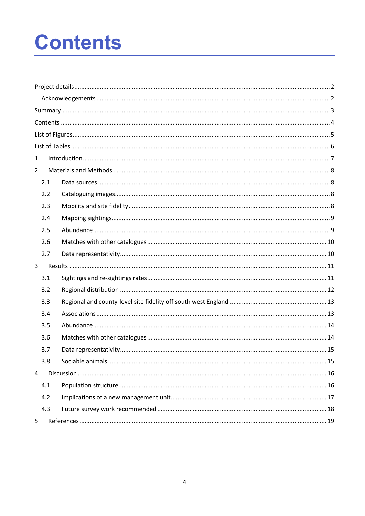## <span id="page-3-0"></span>**Contents**

| $\mathbf{1}$   |     |  |  |  |  |  |  |
|----------------|-----|--|--|--|--|--|--|
| $\overline{2}$ |     |  |  |  |  |  |  |
|                | 2.1 |  |  |  |  |  |  |
|                | 2.2 |  |  |  |  |  |  |
|                | 2.3 |  |  |  |  |  |  |
|                | 2.4 |  |  |  |  |  |  |
|                | 2.5 |  |  |  |  |  |  |
|                | 2.6 |  |  |  |  |  |  |
|                | 2.7 |  |  |  |  |  |  |
| 3              |     |  |  |  |  |  |  |
|                | 3.1 |  |  |  |  |  |  |
|                | 3.2 |  |  |  |  |  |  |
|                | 3.3 |  |  |  |  |  |  |
|                | 3.4 |  |  |  |  |  |  |
|                | 3.5 |  |  |  |  |  |  |
|                | 3.6 |  |  |  |  |  |  |
|                | 3.7 |  |  |  |  |  |  |
|                | 3.8 |  |  |  |  |  |  |
| 4              |     |  |  |  |  |  |  |
|                | 4.1 |  |  |  |  |  |  |
|                | 4.2 |  |  |  |  |  |  |
|                | 4.3 |  |  |  |  |  |  |
| 5              |     |  |  |  |  |  |  |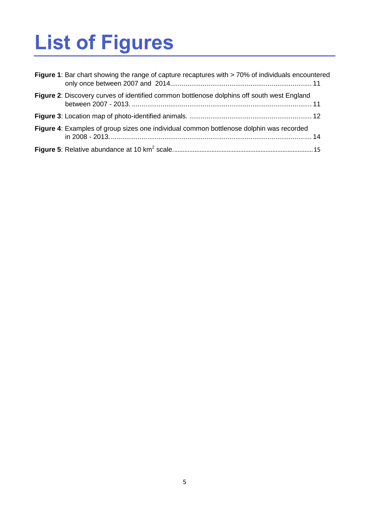# <span id="page-4-0"></span>**List of Figures**

| Figure 1: Bar chart showing the range of capture recaptures with > 70% of individuals encountered |  |
|---------------------------------------------------------------------------------------------------|--|
| Figure 2: Discovery curves of identified common bottlenose dolphins off south west England        |  |
|                                                                                                   |  |
| Figure 4: Examples of group sizes one individual common bottlenose dolphin was recorded           |  |
|                                                                                                   |  |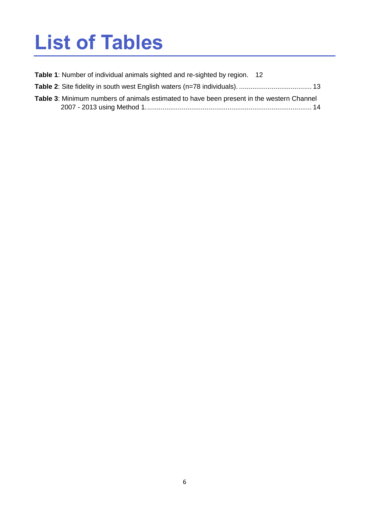### <span id="page-5-0"></span>**List of Tables**

- **Table 1**[: Number of individual animals sighted and re-sighted by region.](#page-11-2) 12
- **Table 2**[: Site fidelity in south west English waters \(n=78 individuals\).](#page-12-2) ...................................... 13
- **Table 3**[: Minimum numbers of animals estimated to have been present in the western Channel](#page-13-3)  2007 - [2013 using Method 1.......................................................................................](#page-13-3) 14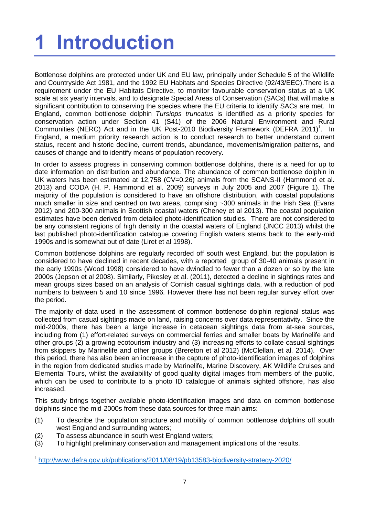# <span id="page-6-0"></span>**1 Introduction**

Bottlenose dolphins are protected under UK and EU law, principally under Schedule 5 of the Wildlife and Countryside Act 1981, and the 1992 EU Habitats and Species Directive (92/43/EEC).There is a requirement under the EU Habitats Directive, to monitor favourable conservation status at a UK scale at six yearly intervals, and to designate Special Areas of Conservation (SACs) that will make a significant contribution to conserving the species where the EU criteria to identify SACs are met. In England, common bottlenose dolphin *Tursiops truncatus* is identified as a priority species for conservation action under Section 41 (S41) of the 2006 Natural Environment and Rural Communities (NERC) Act and in the UK Post-2010 Biodiversity Framework (DEFRA 2011)<sup>1</sup>. In England, a medium priority research action is to conduct research to better understand current status, recent and historic decline, current trends, abundance, movements/migration patterns, and causes of change and to identify means of population recovery.

In order to assess progress in conserving common bottlenose dolphins, there is a need for up to date information on distribution and abundance. The abundance of common bottlenose dolphin in UK waters has been estimated at 12,758 (CV=0.26) animals from the SCANS-II (Hammond et al. 2013) and CODA (H. P. Hammond et al. 2009) surveys in July 2005 and 2007 (Figure 1). The majority of the population is considered to have an offshore distribution, with coastal populations much smaller in size and centred on two areas, comprising ~300 animals in the Irish Sea (Evans 2012) and 200-300 animals in Scottish coastal waters (Cheney et al 2013). The coastal population estimates have been derived from detailed photo-identification studies. There are not considered to be any consistent regions of high density in the coastal waters of England (JNCC 2013) whilst the last published photo-identification catalogue covering English waters stems back to the early-mid 1990s and is somewhat out of date (Liret et al 1998).

Common bottlenose dolphins are regularly recorded off south west England, but the population is considered to have declined in recent decades, with a reported group of 30-40 animals present in the early 1990s (Wood 1998) considered to have dwindled to fewer than a dozen or so by the late 2000s (Jepson et al 2008). Similarly, Pikesley et al. (2011), detected a decline in sightings rates and mean groups sizes based on an analysis of Cornish casual sightings data, with a reduction of pod numbers to between 5 and 10 since 1996. However there has not been regular survey effort over the period.

The majority of data used in the assessment of common bottlenose dolphin regional status was collected from casual sightings made on land, raising concerns over data representativity. Since the mid-2000s, there has been a large increase in cetacean sightings data from at-sea sources, including from (1) effort-related surveys on commercial ferries and smaller boats by Marinelife and other groups (2) a growing ecotourism industry and (3) increasing efforts to collate casual sightings from skippers by Marinelife and other groups (Brereton et al 2012) (McClellan, et al. 2014). Over this period, there has also been an increase in the capture of photo-identification images of dolphins in the region from dedicated studies made by Marinelife, Marine Discovery, AK Wildlife Cruises and Elemental Tours, whilst the availability of good quality digital images from members of the public, which can be used to contribute to a photo ID catalogue of animals sighted offshore, has also increased.

This study brings together available photo-identification images and data on common bottlenose dolphins since the mid-2000s from these data sources for three main aims:

- (1) To describe the population structure and mobility of common bottlenose dolphins off south west England and surrounding waters:
- (2) To assess abundance in south west England waters;

**.** 

(3) To highlight preliminary conservation and management implications of the results.

<sup>1</sup> <http://www.defra.gov.uk/publications/2011/08/19/pb13583-biodiversity-strategy-2020/>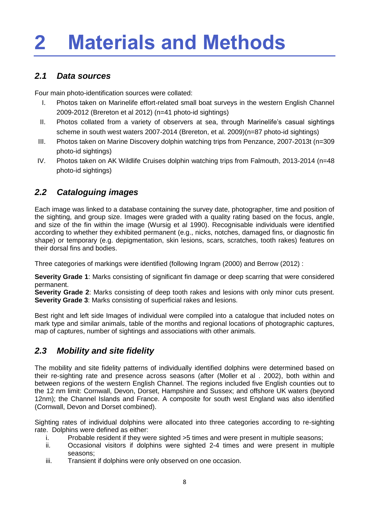## <span id="page-7-0"></span>**2 Materials and Methods**

#### <span id="page-7-1"></span>*2.1 Data sources*

Four main photo-identification sources were collated:

- I. Photos taken on Marinelife effort-related small boat surveys in the western English Channel 2009-2012 (Brereton et al 2012) (n=41 photo-id sightings)
- II. Photos collated from a variety of observers at sea, through Marinelife's casual sightings scheme in south west waters 2007-2014 (Brereton, et al. 2009)(n=87 photo-id sightings)
- III. Photos taken on Marine Discovery dolphin watching trips from Penzance, 2007-2013t (n=309 photo-id sightings)
- IV. Photos taken on AK Wildlife Cruises dolphin watching trips from Falmouth, 2013-2014 (n=48 photo-id sightings)

#### <span id="page-7-2"></span>*2.2 Cataloguing images*

Each image was linked to a database containing the survey date, photographer, time and position of the sighting, and group size. Images were graded with a quality rating based on the focus, angle, and size of the fin within the image (Wursig et al 1990). Recognisable individuals were identified according to whether they exhibited permanent (e.g., nicks, notches, damaged fins, or diagnostic fin shape) or temporary (e.g. depigmentation, skin lesions, scars, scratches, tooth rakes) features on their dorsal fins and bodies.

Three categories of markings were identified (following Ingram (2000) and Berrow (2012) :

**Severity Grade 1**: Marks consisting of significant fin damage or deep scarring that were considered permanent.

**Severity Grade 2**: Marks consisting of deep tooth rakes and lesions with only minor cuts present. **Severity Grade 3**: Marks consisting of superficial rakes and lesions.

Best right and left side Images of individual were compiled into a catalogue that included notes on mark type and similar animals, table of the months and regional locations of photographic captures, map of captures, number of sightings and associations with other animals.

#### <span id="page-7-3"></span>*2.3 Mobility and site fidelity*

The mobility and site fidelity patterns of individually identified dolphins were determined based on their re-sighting rate and presence across seasons (after (Moller et al . 2002), both within and between regions of the western English Channel. The regions included five English counties out to the 12 nm limit: Cornwall, Devon, Dorset, Hampshire and Sussex; and offshore UK waters (beyond 12nm); the Channel Islands and France. A composite for south west England was also identified (Cornwall, Devon and Dorset combined).

Sighting rates of individual dolphins were allocated into three categories according to re-sighting rate. Dolphins were defined as either:

- i. Probable resident if they were sighted >5 times and were present in multiple seasons;
- ii. Occasional visitors if dolphins were sighted 2-4 times and were present in multiple seasons;
- iii. Transient if dolphins were only observed on one occasion.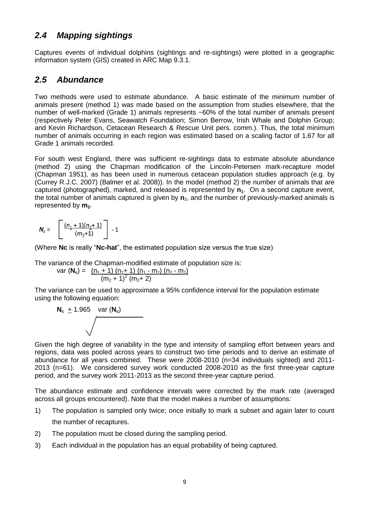#### <span id="page-8-0"></span>*2.4 Mapping sightings*

Captures events of individual dolphins (sightings and re-sightings) were plotted in a geographic information system (GIS) created in ARC Map 9.3.1.

#### <span id="page-8-1"></span>*2.5 Abundance*

Two methods were used to estimate abundance. A basic estimate of the minimum number of animals present (method 1) was made based on the assumption from studies elsewhere, that the number of well-marked (Grade 1) animals represents ~60% of the total number of animals present (respectively Peter Evans, Seawatch Foundation; Simon Berrow, Irish Whale and Dolphin Group; and Kevin Richardson, Cetacean Research & Rescue Unit pers. comm.). Thus, the total minimum number of animals occurring in each region was estimated based on a scaling factor of 1.67 for all Grade 1 animals recorded.

For south west England, there was sufficient re-sightings data to estimate absolute abundance (method 2) using the Chapman modification of the Lincoln-Petersen mark-recapture model (Chapman 1951), as has been used in numerous cetacean population studies approach (e.g. by (Currey R.J.C. 2007) (Balmer et al. 2008)). In the model (method 2) the number of animals that are captured (photographed), marked, and released is represented by **n1**. On a second capture event, the total number of animals captured is given by **n**2, and the number of previously-marked animals is represented by  $m<sub>2</sub>$ .

$$
\mathbf{N}_c = \begin{bmatrix} \frac{(n_1 + 1)(n_2 + 1)}{(m_2 + 1)} \end{bmatrix} - 1
$$

(Where **Nc** is really "**Nc-hat**", the estimated population size versus the true size)

The variance of the Chapman-modified estimate of population size is:

var (**N<sub>c</sub>**) = 
$$
\frac{(n_1 + 1) (n_2 + 1) (n_1 - m_2) (n_2 - m_2)}{(m_2 + 1)^2 (m_2 + 2)}
$$

The variance can be used to approximate a 95% confidence interval for the population estimate using the following equation:



Given the high degree of variability in the type and intensity of sampling effort between years and regions, data was pooled across years to construct two time periods and to derive an estimate of abundance for all years combined. These were 2008-2010 (n=34 individuals sighted) and 2011- 2013 (n=61). We considered survey work conducted 2008-2010 as the first three-year capture period, and the survey work 2011-2013 as the second three-year capture period.

The abundance estimate and confidence intervals were corrected by the mark rate (averaged across all groups encountered). Note that the model makes a number of assumptions:

- 1) The population is sampled only twice; once initially to mark a subset and again later to count the number of recaptures.
- 2) The population must be closed during the sampling period.
- 3) Each individual in the population has an equal probability of being captured.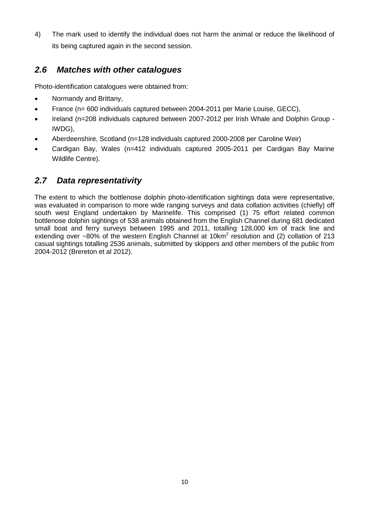4) The mark used to identify the individual does not harm the animal or reduce the likelihood of its being captured again in the second session.

#### <span id="page-9-0"></span>*2.6 Matches with other catalogues*

Photo-identification catalogues were obtained from:

- Normandy and Brittany,
- France (n= 600 individuals captured between 2004-2011 per Marie Louise, GECC),
- Ireland (n=208 individuals captured between 2007-2012 per Irish Whale and Dolphin Group -IWDG),
- Aberdeenshire, Scotland (n=128 individuals captured 2000-2008 per Caroline Weir)
- Cardigan Bay, Wales (n=412 individuals captured 2005-2011 per Cardigan Bay Marine Wildlife Centre).

#### <span id="page-9-1"></span>*2.7 Data representativity*

The extent to which the bottlenose dolphin photo-identification sightings data were representative, was evaluated in comparison to more wide ranging surveys and data collation activities (chiefly) off south west England undertaken by Marinelife. This comprised (1) 75 effort related common bottlenose dolphin sightings of 538 animals obtained from the English Channel during 681 dedicated small boat and ferry surveys between 1995 and 2011, totalling 128,000 km of track line and extending over  $~80\%$  of the western English Channel at 10km<sup>2</sup> resolution and (2) collation of 213 casual sightings totalling 2536 animals, submitted by skippers and other members of the public from 2004-2012 (Brereton et al 2012).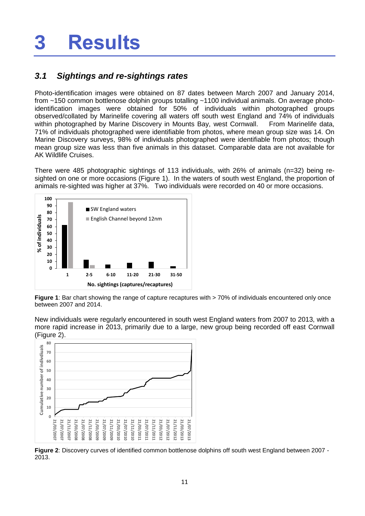### <span id="page-10-0"></span>**3 Results**

#### <span id="page-10-1"></span>*3.1 Sightings and re-sightings rates*

Photo-identification images were obtained on 87 dates between March 2007 and January 2014, from ~150 common bottlenose dolphin groups totalling ~1100 individual animals. On average photoidentification images were obtained for 50% of individuals within photographed groups observed/collated by Marinelife covering all waters off south west England and 74% of individuals within photographed by Marine Discovery in Mounts Bay, west Cornwall. From Marinelife data, 71% of individuals photographed were identifiable from photos, where mean group size was 14. On Marine Discovery surveys, 98% of individuals photographed were identifiable from photos; though mean group size was less than five animals in this dataset. Comparable data are not available for AK Wildlife Cruises.

There were 485 photographic sightings of 113 individuals, with 26% of animals (n=32) being resighted on one or more occasions (Figure 1). In the waters of south west England, the proportion of animals re-sighted was higher at 37%. Two individuals were recorded on 40 or more occasions.



<span id="page-10-2"></span>**Figure 1**: Bar chart showing the range of capture recaptures with > 70% of individuals encountered only once between 2007 and 2014.

New individuals were regularly encountered in south west England waters from 2007 to 2013, with a more rapid increase in 2013, primarily due to a large, new group being recorded off east Cornwall (Figure 2).



<span id="page-10-3"></span>**Figure 2**: Discovery curves of identified common bottlenose dolphins off south west England between 2007 - 2013.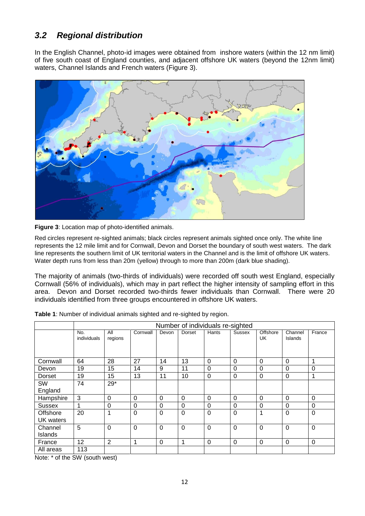#### <span id="page-11-0"></span>*3.2 Regional distribution*

In the English Channel, photo-id images were obtained from inshore waters (within the 12 nm limit) of five south coast of England counties, and adjacent offshore UK waters (beyond the 12nm limit) waters, Channel Islands and French waters (Figure 3).



<span id="page-11-1"></span>**Figure 3**: Location map of photo-identified animals.

Red circles represent re-sighted animals; black circles represent animals sighted once only. The white line represents the 12 mile limit and for Cornwall, Devon and Dorset the boundary of south west waters. The dark line represents the southern limit of UK territorial waters in the Channel and is the limit of offshore UK waters. Water depth runs from less than 20m (yellow) through to more than 200m (dark blue shading).

The majority of animals (two-thirds of individuals) were recorded off south west England, especially Cornwall (56% of individuals), which may in part reflect the higher intensity of sampling effort in this area. Devon and Dorset recorded two-thirds fewer individuals than Cornwall. There were 20 individuals identified from three groups encountered in offshore UK waters.

|               | Number of individuals re-sighted |                |          |             |          |             |             |                |                           |             |
|---------------|----------------------------------|----------------|----------|-------------|----------|-------------|-------------|----------------|---------------------------|-------------|
|               | No.<br>individuals               | All<br>regions | Cornwall | Devon       | Dorset   | Hants       | Sussex      | Offshore<br>UK | Channel<br><b>Islands</b> | France      |
| Cornwall      | 64                               | 28             | 27       | 14          | 13       | $\Omega$    | $\mathbf 0$ | $\Omega$       | $\Omega$                  |             |
| Devon         | 19                               | 15             | 14       | 9           | 11       | $\Omega$    | 0           | $\Omega$       | $\Omega$                  | $\Omega$    |
| Dorset        | 19                               | 15             | 13       | 11          | 10       | $\mathbf 0$ | $\mathbf 0$ | $\mathbf 0$    | $\Omega$                  | 1           |
| <b>SW</b>     | 74                               | $29*$          |          |             |          |             |             |                |                           |             |
| England       |                                  |                |          |             |          |             |             |                |                           |             |
| Hampshire     | 3                                | 0              | 0        | $\Omega$    | $\Omega$ | 0           | 0           | 0              | $\Omega$                  | $\Omega$    |
| <b>Sussex</b> | 1                                | $\Omega$       | 0        | $\Omega$    | 0        | $\Omega$    | $\Omega$    | $\Omega$       | $\Omega$                  | $\Omega$    |
| Offshore      | 20                               | 1              | 0        | $\mathbf 0$ | 0        | $\mathbf 0$ | $\mathbf 0$ | 1              | $\Omega$                  | $\mathbf 0$ |
| UK waters     |                                  |                |          |             |          |             |             |                |                           |             |
| Channel       | 5                                | $\Omega$       | 0        | $\Omega$    | $\Omega$ | $\mathbf 0$ | $\mathbf 0$ | $\Omega$       | $\Omega$                  | $\Omega$    |
| Islands       |                                  |                |          |             |          |             |             |                |                           |             |
| France        | 12                               | $\overline{2}$ | 1        | $\Omega$    | 1        | $\mathbf 0$ | $\mathbf 0$ | $\Omega$       | $\Omega$                  | $\Omega$    |
| All areas     | 113                              |                |          |             |          |             |             |                |                           |             |

<span id="page-11-2"></span>**Table 1**: Number of individual animals sighted and re-sighted by region.

Note: \* of the SW (south west)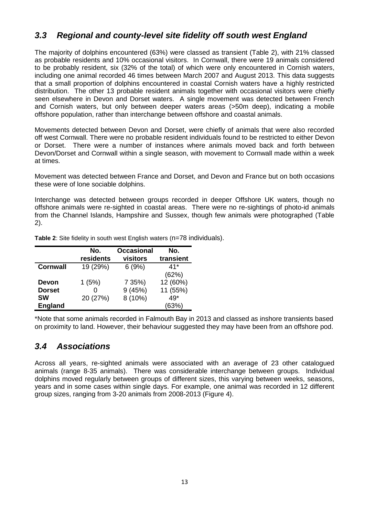#### <span id="page-12-0"></span>*3.3 Regional and county-level site fidelity off south west England*

The majority of dolphins encountered (63%) were classed as transient (Table 2), with 21% classed as probable residents and 10% occasional visitors. In Cornwall, there were 19 animals considered to be probably resident, six (32% of the total) of which were only encountered in Cornish waters, including one animal recorded 46 times between March 2007 and August 2013. This data suggests that a small proportion of dolphins encountered in coastal Cornish waters have a highly restricted distribution. The other 13 probable resident animals together with occasional visitors were chiefly seen elsewhere in Devon and Dorset waters. A single movement was detected between French and Cornish waters, but only between deeper waters areas (>50m deep), indicating a mobile offshore population, rather than interchange between offshore and coastal animals.

Movements detected between Devon and Dorset, were chiefly of animals that were also recorded off west Cornwall. There were no probable resident individuals found to be restricted to either Devon or Dorset. There were a number of instances where animals moved back and forth between Devon/Dorset and Cornwall within a single season, with movement to Cornwall made within a week at times.

Movement was detected between France and Dorset, and Devon and France but on both occasions these were of lone sociable dolphins.

Interchange was detected between groups recorded in deeper Offshore UK waters, though no offshore animals were re-sighted in coastal areas. There were no re-sightings of photo-id animals from the Channel Islands, Hampshire and Sussex, though few animals were photographed (Table 2).

|                 | No.<br>residents | <b>Occasional</b><br>visitors | No.<br>transient |
|-----------------|------------------|-------------------------------|------------------|
| <b>Cornwall</b> | 19 (29%)         | 6(9%)                         | $41*$            |
|                 |                  |                               | (62%)            |
| <b>Devon</b>    | 1(5%)            | 7 35%)                        | 12 (60%)         |
| <b>Dorset</b>   |                  | 9(45%)                        | 11 (55%)         |
| <b>SW</b>       | 20 (27%)         | 8 (10%)                       | 49*              |
| <b>England</b>  |                  |                               | (63%)            |

<span id="page-12-2"></span>**Table 2:** Site fidelity in south west English waters (n=78 individuals).

\*Note that some animals recorded in Falmouth Bay in 2013 and classed as inshore transients based on proximity to land. However, their behaviour suggested they may have been from an offshore pod.

#### <span id="page-12-1"></span>*3.4 Associations*

Across all years, re-sighted animals were associated with an average of 23 other catalogued animals (range 8-35 animals). There was considerable interchange between groups. Individual dolphins moved regularly between groups of different sizes, this varying between weeks, seasons, years and in some cases within single days. For example, one animal was recorded in 12 different group sizes, ranging from 3-20 animals from 2008-2013 (Figure 4).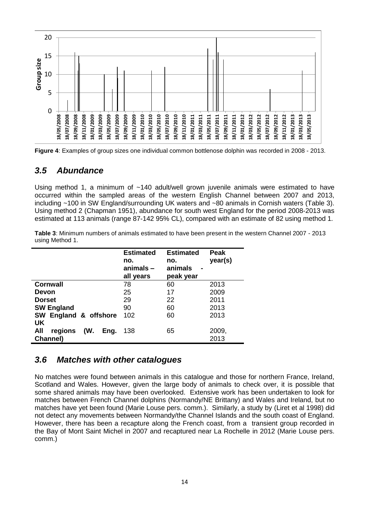

<span id="page-13-2"></span>**Figure 4**: Examples of group sizes one individual common bottlenose dolphin was recorded in 2008 - 2013.

#### <span id="page-13-0"></span>*3.5 Abundance*

Using method 1, a minimum of ~140 adult/well grown juvenile animals were estimated to have occurred within the sampled areas of the western English Channel between 2007 and 2013, including ~100 in SW England/surrounding UK waters and ~80 animals in Cornish waters (Table 3). Using method 2 (Chapman 1951), abundance for south west England for the period 2008-2013 was estimated at 113 animals (range 87-142 95% CL), compared with an estimate of 82 using method 1.

<span id="page-13-3"></span>**Table 3**: Minimum numbers of animals estimated to have been present in the western Channel 2007 - 2013 using Method 1.

|                               | <b>Estimated</b><br>no.<br>animals –<br>all years | <b>Estimated</b><br>no.<br>animals<br>$\blacksquare$<br>peak year | <b>Peak</b><br>year(s) |
|-------------------------------|---------------------------------------------------|-------------------------------------------------------------------|------------------------|
| <b>Cornwall</b>               | 78                                                | 60                                                                | 2013                   |
| Devon                         | 25                                                | 17                                                                | 2009                   |
| <b>Dorset</b>                 | 29                                                | 22                                                                | 2011                   |
| <b>SW England</b>             | 90                                                | 60                                                                | 2013                   |
| SW England & offshore         | 102                                               | 60                                                                | 2013                   |
| UK                            |                                                   |                                                                   |                        |
| All<br>(W.<br>regions<br>Eng. | 138                                               | 65                                                                | 2009,                  |
| Channel)                      |                                                   |                                                                   | 2013                   |

#### <span id="page-13-1"></span>*3.6 Matches with other catalogues*

No matches were found between animals in this catalogue and those for northern France, Ireland, Scotland and Wales. However, given the large body of animals to check over, it is possible that some shared animals may have been overlooked. Extensive work has been undertaken to look for matches between French Channel dolphins (Normandy/NE Brittany) and Wales and Ireland, but no matches have yet been found (Marie Louse pers. comm.). Similarly, a study by (Liret et al 1998) did not detect any movements between Normandy/the Channel Islands and the south coast of England. However, there has been a recapture along the French coast, from a transient group recorded in the Bay of Mont Saint Michel in 2007 and recaptured near La Rochelle in 2012 (Marie Louse pers. comm.)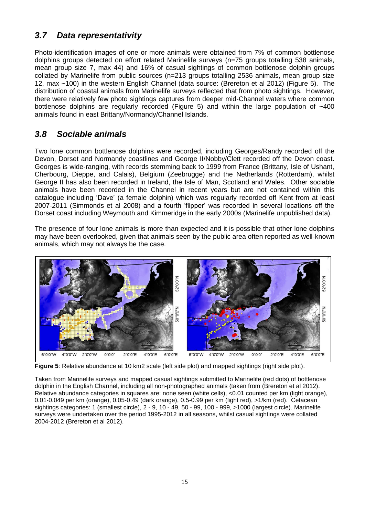### <span id="page-14-0"></span>*3.7 Data representativity*

Photo-identification images of one or more animals were obtained from 7% of common bottlenose dolphins groups detected on effort related Marinelife surveys (n=75 groups totalling 538 animals, mean group size 7, max 44) and 16% of casual sightings of common bottlenose dolphin groups collated by Marinelife from public sources (n=213 groups totalling 2536 animals, mean group size 12, max ~100) in the western English Channel (data source: (Brereton et al 2012) (Figure 5). The distribution of coastal animals from Marinelife surveys reflected that from photo sightings. However, there were relatively few photo sightings captures from deeper mid-Channel waters where common bottlenose dolphins are regularly recorded (Figure 5) and within the large population of  $\sim$ 400 animals found in east Brittany/Normandy/Channel Islands.

#### <span id="page-14-1"></span>*3.8 Sociable animals*

Two lone common bottlenose dolphins were recorded, including Georges/Randy recorded off the Devon, Dorset and Normandy coastlines and George II/Nobby/Clett recorded off the Devon coast. Georges is wide-ranging, with records stemming back to 1999 from France (Brittany, Isle of Ushant, Cherbourg, Dieppe, and Calais), Belgium (Zeebrugge) and the Netherlands (Rotterdam), whilst George II has also been recorded in Ireland, the Isle of Man, Scotland and Wales. Other sociable animals have been recorded in the Channel in recent years but are not contained within this catalogue including 'Dave' (a female dolphin) which was regularly recorded off Kent from at least 2007-2011 (Simmonds et al 2008) and a fourth 'flipper' was recorded in several locations off the Dorset coast including Weymouth and Kimmeridge in the early 2000s (Marinelife unpublished data).

The presence of four lone animals is more than expected and it is possible that other lone dolphins may have been overlooked, given that animals seen by the public area often reported as well-known animals, which may not always be the case.



<span id="page-14-2"></span>**Figure 5**: Relative abundance at 10 km2 scale (left side plot) and mapped sightings (right side plot).

Taken from Marinelife surveys and mapped casual sightings submitted to Marinelife (red dots) of bottlenose dolphin in the English Channel, including all non-photographed animals (taken from (Brereton et al 2012). Relative abundance categories in squares are: none seen (white cells), <0.01 counted per km (light orange), 0.01-0.049 per km (orange), 0.05-0.49 (dark orange), 0.5-0.99 per km (light red), >1/km (red). Cetacean sightings categories: 1 (smallest circle), 2 - 9, 10 - 49, 50 - 99, 100 - 999, >1000 (largest circle). Marinelife surveys were undertaken over the period 1995-2012 in all seasons, whilst casual sightings were collated 2004-2012 (Brereton et al 2012).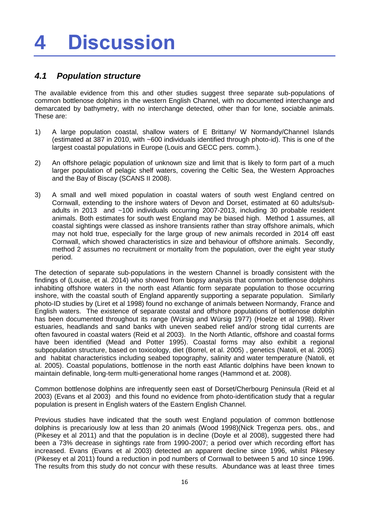### <span id="page-15-0"></span>**4 Discussion**

#### <span id="page-15-1"></span>*4.1 Population structure*

The available evidence from this and other studies suggest three separate sub-populations of common bottlenose dolphins in the western English Channel, with no documented interchange and demarcated by bathymetry, with no interchange detected, other than for lone, sociable animals. These are:

- 1) A large population coastal, shallow waters of E Brittany/ W Normandy/Channel Islands (estimated at 387 in 2010, with ~600 individuals identified through photo-id). This is one of the largest coastal populations in Europe (Louis and GECC pers. comm.).
- 2) An offshore pelagic population of unknown size and limit that is likely to form part of a much larger population of pelagic shelf waters, covering the Celtic Sea, the Western Approaches and the Bay of Biscay (SCANS II 2008).
- 3) A small and well mixed population in coastal waters of south west England centred on Cornwall, extending to the inshore waters of Devon and Dorset, estimated at 60 adults/subadults in 2013 and ~100 individuals occurring 2007-2013, including 30 probable resident animals. Both estimates for south west England may be biased high. Method 1 assumes, all coastal sightings were classed as inshore transients rather than stray offshore animals, which may not hold true, especially for the large group of new animals recorded in 2014 off east Cornwall, which showed characteristics in size and behaviour of offshore animals. Secondly, method 2 assumes no recruitment or mortality from the population, over the eight year study period.

The detection of separate sub-populations in the western Channel is broadly consistent with the findings of (Louise, et al. 2014) who showed from biopsy analysis that common bottlenose dolphins inhabiting offshore waters in the north east Atlantic form separate population to those occurring inshore, with the coastal south of England apparently supporting a separate population. Similarly photo-ID studies by (Liret et al 1998) found no exchange of animals between Normandy, France and English waters. The existence of separate coastal and offshore populations of bottlenose dolphin has been documented throughout its range (Würsig and Würsig 1977) (Hoelze et al 1998). River estuaries, headlands and sand banks with uneven seabed relief and/or strong tidal currents are often favoured in coastal waters (Reid et al 2003). In the North Atlantic, offshore and coastal forms have been identified (Mead and Potter 1995). Coastal forms may also exhibit a regional subpopulation structure, based on toxicology, diet (Borrel, et al. 2005) , genetics (Natoli, et al. 2005) and habitat characteristics including seabed topography, salinity and water temperature (Natoli, et al. 2005). Coastal populations, bottlenose in the north east Atlantic dolphins have been known to maintain definable, long-term multi-generational home ranges (Hammond et at. 2008).

Common bottlenose dolphins are infrequently seen east of Dorset/Cherbourg Peninsula (Reid et al 2003) (Evans et al 2003) and this found no evidence from photo-identification study that a regular population is present in English waters of the Eastern English Channel.

Previous studies have indicated that the south west England population of common bottlenose dolphins is precariously low at less than 20 animals (Wood 1998)(Nick Tregenza pers. obs., and (Pikesey et al 2011) and that the population is in decline (Doyle et al 2008), suggested there had been a 73% decrease in sightings rate from 1990-2007; a period over which recording effort has increased. Evans (Evans et al 2003) detected an apparent decline since 1996, whilst Pikesey (Pikesey et al 2011) found a reduction in pod numbers of Cornwall to between 5 and 10 since 1996. The results from this study do not concur with these results. Abundance was at least three times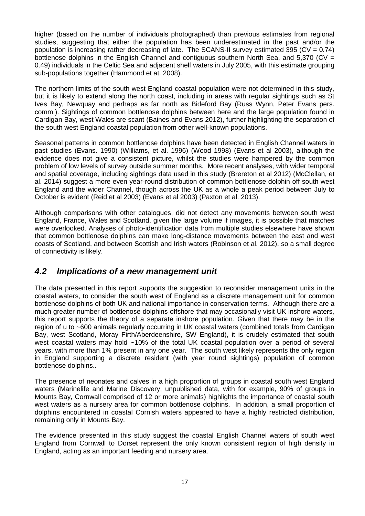higher (based on the number of individuals photographed) than previous estimates from regional studies, suggesting that either the population has been underestimated in the past and/or the population is increasing rather decreasing of late. The SCANS-II survey estimated 395 (CV = 0.74) bottlenose dolphins in the English Channel and contiguous southern North Sea, and 5,370 (CV = 0.49) individuals in the Celtic Sea and adjacent shelf waters in July 2005, with this estimate grouping sub-populations together (Hammond et at. 2008).

The northern limits of the south west England coastal population were not determined in this study, but it is likely to extend along the north coast, including in areas with regular sightings such as St Ives Bay, Newquay and perhaps as far north as Bideford Bay (Russ Wynn, Peter Evans pers. comm.). Sightings of common bottlenose dolphins between here and the large population found in Cardigan Bay, west Wales are scant (Baines and Evans 2012), further highlighting the separation of the south west England coastal population from other well-known populations.

Seasonal patterns in common bottlenose dolphins have been detected in English Channel waters in past studies (Evans. 1990) (Williams, et al. 1996) (Wood 1998) (Evans et al 2003), although the evidence does not give a consistent picture, whilst the studies were hampered by the common problem of low levels of survey outside summer months. More recent analyses, with wider temporal and spatial coverage, including sightings data used in this study (Brereton et al 2012) (McClellan, et al. 2014) suggest a more even year-round distribution of common bottlenose dolphin off south west England and the wider Channel, though across the UK as a whole a peak period between July to October is evident (Reid et al 2003) (Evans et al 2003) (Paxton et al. 2013).

Although comparisons with other catalogues, did not detect any movements between south west England, France, Wales and Scotland, given the large volume if images, it is possible that matches were overlooked. Analyses of photo-identification data from multiple studies elsewhere have shown that common bottlenose dolphins can make long-distance movements between the east and west coasts of Scotland, and between Scottish and Irish waters (Robinson et al. 2012), so a small degree of connectivity is likely.

#### <span id="page-16-0"></span>*4.2 Implications of a new management unit*

The data presented in this report supports the suggestion to reconsider management units in the coastal waters, to consider the south west of England as a discrete management unit for common bottlenose dolphins of both UK and national importance in conservation terms. Although there are a much greater number of bottlenose dolphins offshore that may occasionally visit UK inshore waters, this report supports the theory of a separate inshore population. Given that there may be in the region of u to ~600 animals regularly occurring in UK coastal waters (combined totals from Cardigan Bay, west Scotland, Moray Firth/Aberdeenshire, SW England), it is crudely estimated that south west coastal waters may hold ~10% of the total UK coastal population over a period of several years, with more than 1% present in any one year. The south west likely represents the only region in England supporting a discrete resident (with year round sightings) population of common bottlenose dolphins..

The presence of neonates and calves in a high proportion of groups in coastal south west England waters (Marinelife and Marine Discovery, unpublished data, with for example, 90% of groups in Mounts Bay, Cornwall comprised of 12 or more animals) highlights the importance of coastal south west waters as a nursery area for common bottlenose dolphins. In addition, a small proportion of dolphins encountered in coastal Cornish waters appeared to have a highly restricted distribution, remaining only in Mounts Bay.

The evidence presented in this study suggest the coastal English Channel waters of south west England from Cornwall to Dorset represent the only known consistent region of high density in England, acting as an important feeding and nursery area.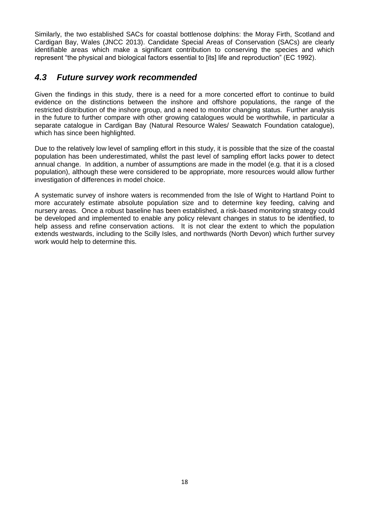Similarly, the two established SACs for coastal bottlenose dolphins: the Moray Firth, Scotland and Cardigan Bay, Wales (JNCC 2013). Candidate Special Areas of Conservation (SACs) are clearly identifiable areas which make a significant contribution to conserving the species and which represent "the physical and biological factors essential to [its] life and reproduction" (EC 1992).

#### <span id="page-17-0"></span>*4.3 Future survey work recommended*

Given the findings in this study, there is a need for a more concerted effort to continue to build evidence on the distinctions between the inshore and offshore populations, the range of the restricted distribution of the inshore group, and a need to monitor changing status. Further analysis in the future to further compare with other growing catalogues would be worthwhile, in particular a separate catalogue in Cardigan Bay (Natural Resource Wales/ Seawatch Foundation catalogue), which has since been highlighted.

Due to the relatively low level of sampling effort in this study, it is possible that the size of the coastal population has been underestimated, whilst the past level of sampling effort lacks power to detect annual change. In addition, a number of assumptions are made in the model (e.g. that it is a closed population), although these were considered to be appropriate, more resources would allow further investigation of differences in model choice.

A systematic survey of inshore waters is recommended from the Isle of Wight to Hartland Point to more accurately estimate absolute population size and to determine key feeding, calving and nursery areas. Once a robust baseline has been established, a risk-based monitoring strategy could be developed and implemented to enable any policy relevant changes in status to be identified, to help assess and refine conservation actions. It is not clear the extent to which the population extends westwards, including to the Scilly Isles, and northwards (North Devon) which further survey work would help to determine this.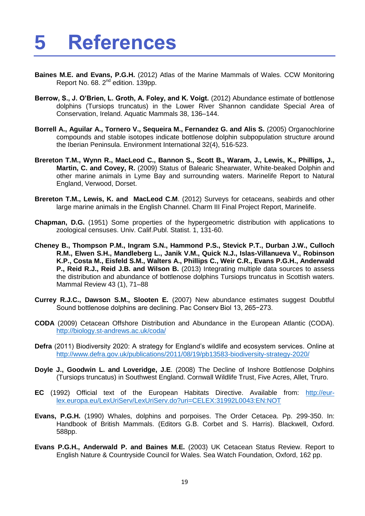### <span id="page-18-0"></span>**5 References**

- **Baines M.E. and Evans, P.G.H.** (2012) Atlas of the Marine Mammals of Wales. CCW Monitoring Report No. 68. 2<sup>nd</sup> edition. 139pp.
- **Berrow, S., J. O'Brien, L. Groth, A. Foley, and K. Voigt.** (2012) Abundance estimate of bottlenose dolphins (Tursiops truncatus) in the Lower River Shannon candidate Special Area of Conservation, Ireland. Aquatic Mammals 38, 136–144.
- **Borrell A., Aguilar A., Tornero V., Sequeira M., Fernandez G. and Alis S.** (2005) Organochlorine compounds and stable isotopes indicate bottlenose dolphin subpopulation structure around the Iberian Peninsula. Environment International 32(4), 516-523.
- **Brereton T.M., Wynn R., MacLeod C., Bannon S., Scott B., Waram, J., Lewis, K., Phillips, J., Martin, C. and Covey, R.** (2009) Status of Balearic Shearwater, White-beaked Dolphin and other marine animals in Lyme Bay and surrounding waters. Marinelife Report to Natural England, Verwood, Dorset.
- **Brereton T.M., Lewis, K. and MacLeod C.M**. (2012) Surveys for cetaceans, seabirds and other large marine animals in the English Channel. Charm III Final Project Report, Marinelife.
- **Chapman, D.G.** (1951) Some properties of the hypergeometric distribution with applications to zoological censuses. Univ. Calif.Publ. Statist. 1, 131-60.
- **Cheney B., Thompson P.M., Ingram S.N., Hammond P.S., Stevick P.T., Durban J.W., Culloch R.M., Elwen S.H., Mandleberg L., Janik V.M., Quick N.J., Islas-Villanueva V., Robinson K.P., Costa M., Eisfeld S.M., Walters A., Phillips C., Weir C.R., Evans P.G.H., Anderwald P., Reid R.J., Reid J.B. and Wilson B.** (2013) Integrating multiple data sources to assess the distribution and abundance of bottlenose dolphins Tursiops truncatus in Scottish waters. Mammal Review 43 (1), 71–88
- **Currey R.J.C., Dawson S.M., Slooten E.** (2007) New abundance estimates suggest Doubtful Sound bottlenose dolphins are declining. Pac Conserv Biol 13, 265−273.
- **CODA** (2009) Cetacean Offshore Distribution and Abundance in the European Atlantic (CODA). <http://biology.st-andrews.ac.uk/coda/>
- **Defra** (2011) Biodiversity 2020: A strategy for England's wildlife and ecosystem services. Online at <http://www.defra.gov.uk/publications/2011/08/19/pb13583-biodiversity-strategy-2020/>
- **Doyle J., Goodwin L. and Loveridge, J.E**. (2008) The Decline of Inshore Bottlenose Dolphins (Tursiops truncatus) in Southwest England. Cornwall Wildlife Trust, Five Acres, Allet, Truro.
- **EC** (1992) Official text of the European Habitats Directive. Available from: [http://eur](http://eur-lex.europa.eu/LexUriServ/LexUriServ.do?uri=CELEX:31992L0043:EN:NOT)[lex.europa.eu/LexUriServ/LexUriServ.do?uri=CELEX:31992L0043:EN:NOT](http://eur-lex.europa.eu/LexUriServ/LexUriServ.do?uri=CELEX:31992L0043:EN:NOT)
- **Evans, P.G.H.** (1990) Whales, dolphins and porpoises. The Order Cetacea. Pp. 299-350. In: Handbook of British Mammals. (Editors G.B. Corbet and S. Harris). Blackwell, Oxford. 588pp.
- **Evans P.G.H., Anderwald P. and Baines M.E.** (2003) UK Cetacean Status Review. Report to English Nature & Countryside Council for Wales. Sea Watch Foundation, Oxford, 162 pp.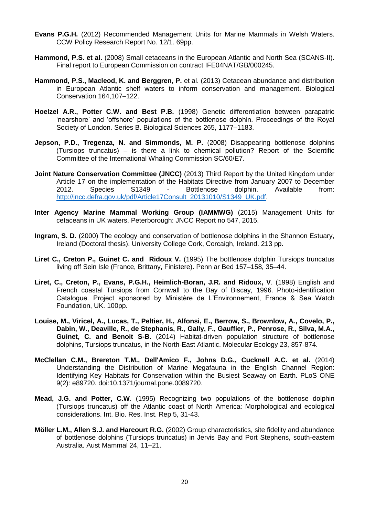- **Evans P.G.H.** (2012) Recommended Management Units for Marine Mammals in Welsh Waters. CCW Policy Research Report No. 12/1. 69pp.
- **Hammond, P.S. et al.** (2008) Small cetaceans in the European Atlantic and North Sea (SCANS-II). Final report to European Commission on contract IFE04NAT/GB/000245.
- **Hammond, P.S., Macleod, K. and Berggren, P.** et al. (2013) Cetacean abundance and distribution in European Atlantic shelf waters to inform conservation and management. Biological Conservation 164,107–122.
- **Hoelzel A.R., Potter C.W. and Best P.B.** (1998) Genetic differentiation between parapatric 'nearshore' and 'offshore' populations of the bottlenose dolphin. Proceedings of the Royal Society of London. Series B. Biological Sciences 265, 1177–1183.
- **Jepson, P.D., Tregenza, N. and Simmonds, M. P.** (2008) Disappearing bottlenose dolphins (Tursiops truncatus) – is there a link to chemical pollution? Report of the Scientific Committee of the International Whaling Commission SC/60/E7.
- **Joint Nature Conservation Committee (JNCC)** (2013) Third Report by the United Kingdom under Article 17 on the implementation of the Habitats Directive from January 2007 to December 2012. Species S1349 - Bottlenose dolphin. Available from: [http://jncc.defra.gov.uk/pdf/Article17Consult\\_20131010/S1349\\_UK.pdf.](http://jncc.defra.gov.uk/pdf/Article17Consult_20131010/S1349_UK.pdf)
- **Inter Agency Marine Mammal Working Group (IAMMWG)** (2015) Management Units for cetaceans in UK waters. Peterborough: JNCC Report no 547, 2015.
- **Ingram, S. D.** (2000) The ecology and conservation of bottlenose dolphins in the Shannon Estuary, Ireland (Doctoral thesis). University College Cork, Corcaigh, Ireland. 213 pp.
- **Liret C., Creton P., Guinet C. and Ridoux V.** (1995) The bottlenose dolphin Tursiops truncatus living off Sein Isle (France, Brittany, Finistere). Penn ar Bed 157–158, 35–44.
- **Liret, C., Creton, P., Evans, P.G.H., Heimlich-Boran, J.R. and Ridoux, V**. (1998) English and French coastal Tursiops from Cornwall to the Bay of Biscay, 1996. Photo-identification Catalogue. Project sponsored by Ministère de L'Environnement, France & Sea Watch Foundation, UK. 100pp.
- **Louise, M., Viricel, A., Lucas, T., Peltier, H., Alfonsi, E., Berrow, S., Brownlow, A., Covelo, P., Dabin, W., Deaville, R., de Stephanis, R., Gally, F., Gauffier, P., Penrose, R., Silva, M.A., Guinet, C. and Benoit S-B.** (2014) Habitat-driven population structure of bottlenose dolphins, Tursiops truncatus, in the North-East Atlantic. Molecular Ecology 23, 857-874.
- **McClellan C.M., Brereton T.M., Dell'Amico F., Johns D.G., Cucknell A.C. et al.** (2014) Understanding the Distribution of Marine Megafauna in the English Channel Region: Identifying Key Habitats for Conservation within the Busiest Seaway on Earth. PLoS ONE 9(2): e89720. doi:10.1371/journal.pone.0089720.
- **Mead, J.G. and Potter, C.W**. (1995) Recognizing two populations of the bottlenose dolphin (Tursiops truncatus) off the Atlantic coast of North America: Morphological and ecological considerations. Int. Bio. Res. Inst. Rep 5, 31-43.
- **Möller L.M., Allen S.J. and Harcourt R.G.** (2002) Group characteristics, site fidelity and abundance of bottlenose dolphins (Tursiops truncatus) in Jervis Bay and Port Stephens, south-eastern Australia. Aust Mammal 24, 11–21.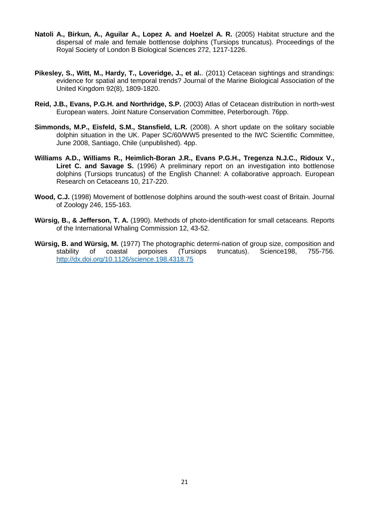- **Natoli A., Birkun, A., Aguilar A., Lopez A. and Hoelzel A. R.** (2005) Habitat structure and the dispersal of male and female bottlenose dolphins (Tursiops truncatus). Proceedings of the Royal Society of London B Biological Sciences 272, 1217-1226.
- **Pikesley, S., Witt, M., Hardy, T., Loveridge, J., et al.**. (2011) Cetacean sightings and strandings: evidence for spatial and temporal trends? Journal of the Marine Biological Association of the United Kingdom 92(8), 1809-1820.
- **Reid, J.B., Evans, P.G.H. and Northridge, S.P.** (2003) Atlas of Cetacean distribution in north-west European waters. Joint Nature Conservation Committee, Peterborough. 76pp.
- **Simmonds, M.P., Eisfeld, S.M., Stansfield, L.R.** (2008). A short update on the solitary sociable dolphin situation in the UK. Paper SC/60/WW5 presented to the IWC Scientific Committee, June 2008, Santiago, Chile (unpublished). 4pp.
- **Williams A.D., Williams R., Heimlich-Boran J.R., Evans P.G.H., Tregenza N.J.C., Ridoux V., Liret C. and Savage S.** (1996) A preliminary report on an investigation into bottlenose dolphins (Tursiops truncatus) of the English Channel: A collaborative approach. European Research on Cetaceans 10, 217-220.
- **Wood, C.J.** (1998) Movement of bottlenose dolphins around the south-west coast of Britain. Journal of Zoology 246, 155-163.
- **Würsig, B., & Jefferson, T. A.** (1990). Methods of photo-identification for small cetaceans. Reports of the International Whaling Commission 12, 43-52.
- **Würsig, B. and Würsig, M.** (1977) The photographic determi-nation of group size, composition and stability of coastal porpoises (Tursiops truncatus). Science198, 755-756. <http://dx.doi.org/10.1126/science.198.4318.75>